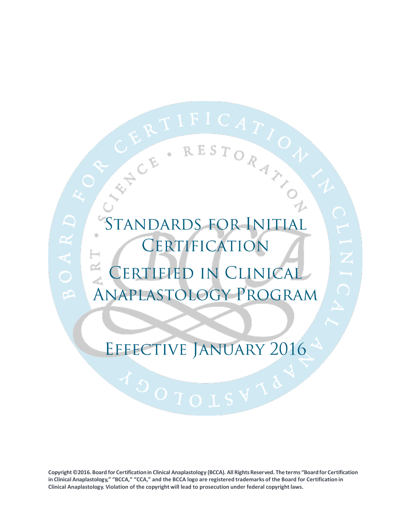## STANDARDS FOR INITIA CERTIFICATION  $\simeq$ CERTIFIED IN CLINICAL ANAPLASTOLOGY PROGRAM

CHE. RESTORATION

## EFFECTIVE JANUARY 2016

**Copyright ©2016.Board for Certificationin Clinical Anaplastology (BCCA). All RightsReserved. The terms "Boardfor Certification** in Clinical Anaplastology," "BCCA," "CCA," and the BCCA logo are registered trademarks of the Board for Certification in **Clinical Anaplastology. Violation of the copyright will lead to prosecution under federal copyright laws.**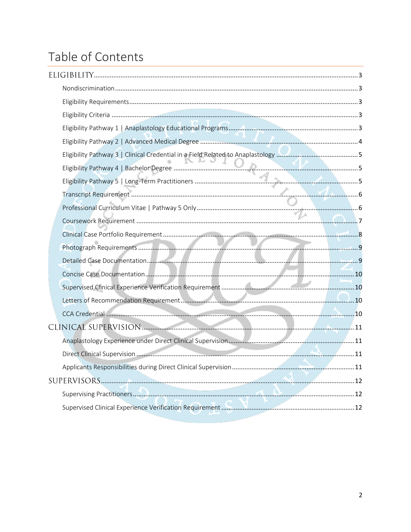## Table of Contents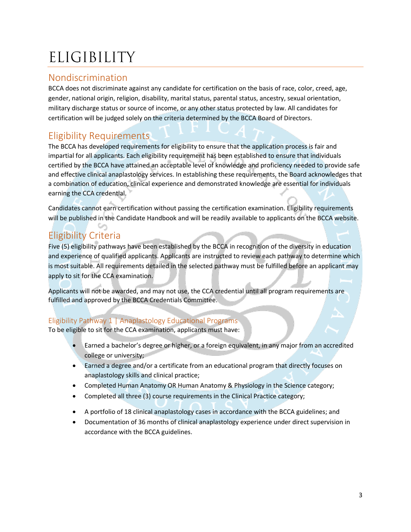# <span id="page-2-0"></span>ELIGIBILITY

### <span id="page-2-1"></span>Nondiscrimination

BCCA does not discriminate against any candidate for certification on the basis of race, color, creed, age, gender, national origin, religion, disability, marital status, parental status, ancestry, sexual orientation, military discharge status or source of income, or any other status protected by law. All candidates for certification will be judged solely on the criteria determined by the BCCA Board of Directors.

## <span id="page-2-2"></span>Eligibility Requirements

The BCCA has developed requirements for eligibility to ensure that the application process is fair and impartial for all applicants. Each eligibility requirement has been established to ensure that individuals certified by the BCCA have attained an acceptable level of knowledge and proficiency needed to provide safe and effective clinical anaplastology services. In establishing these requirements, the Board acknowledges that a combination of education, clinical experience and demonstrated knowledge are essential for individuals earning the CCA credential.

Candidates cannot earn certification without passing the certification examination. Eligibility requirements will be published in the Candidate Handbook and will be readily available to applicants on the BCCA website.

## <span id="page-2-3"></span>Eligibility Criteria

Five (5) eligibility pathways have been established by the BCCA in recognition of the diversity in education and experience of qualified applicants. Applicants are instructed to review each pathway to determine which is most suitable. All requirements detailed in the selected pathway must be fulfilled before an applicant may apply to sit for the CCA examination.

Applicants will not be awarded, and may not use, the CCA credential until all program requirements are fulfilled and approved by the BCCA Credentials Committee.

#### <span id="page-2-4"></span>Eligibility Pathway 1 | Anaplastology Educational Programs

To be eligible to sit for the CCA examination, applicants must have:

- Earned a bachelor's degree or higher, or a foreign equivalent, in any major from an accredited college or university;
- Earned a degree and/or a certificate from an educational program that directly focuses on anaplastology skills and clinical practice;
- Completed Human Anatomy OR Human Anatomy & Physiology in the Science category;
- Completed all three (3) course requirements in the Clinical Practice category;
- A portfolio of 18 clinical anaplastology cases in accordance with the BCCA guidelines; and
- Documentation of 36 months of clinical anaplastology experience under direct supervision in accordance with the BCCA guidelines.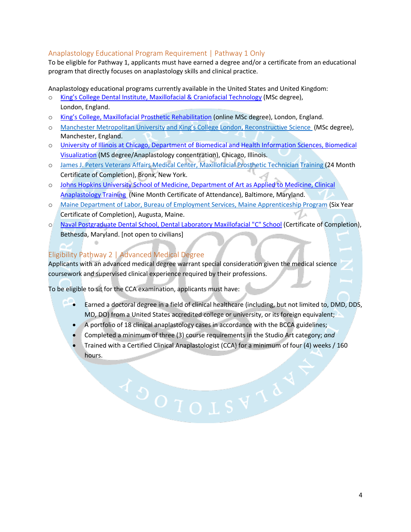#### Anaplastology Educational Program Requirement | Pathway 1 Only

To be eligible for Pathway 1, applicants must have earned a degree and/or a certificate from an educational program that directly focuses on anaplastology skills and clinical practice.

Anaplastology educational programs currently available in the United States and United Kingdom:

- o [King's College Dental Institute, Maxillofacial & Craniofacial Technology](http://www.kcl.ac.uk/prospectus/graduate/maxillofacial-and-craniofacial-technology) (MSc degree), London, England.
- o King's College, Ma[xillofacial Prosthetic Rehabilitation](http://www.gradschools.com/program-details/kings-college-london/maxillofacial-prosthetic-rehabilitation-252938_2) (online MSc degree), London, England.
- o [Manchester Metropolitan University and King's College London, Reconstructive Science](http://mahse.co.uk/our-programmes/postgraduate/) (MSc degree), Manchester, England.
- o [University of Illinois at Chicago, Department of Biomedical and Health Information Sciences, Biomedical](http://www.ahs.uic.edu/bhis/academics/bvis/)  [Visualization](http://www.ahs.uic.edu/bhis/academics/bvis/) (MS degree/Anaplastology concentration), Chicago, Illinois.
- o [James J. Peters Veterans Affairs Medical Center,](mailto:Candice.Zemnick@va.gov) Maxillofacial Prosthetic Technician Training (24 Month Certificate of Completion), Bronx, New York.
- o [Johns Hopkins University School of Medicine, Department of Art as Applied to Medicine, Clinical](http://www.hopkinsmedicine.org/medart/ProstheticsTraining.htm)  [Anaplastology Training](http://www.hopkinsmedicine.org/medart/ProstheticsTraining.htm) (Nine Month Certificate of Attendance), Baltimore, Maryland.
- o [Maine Department of Labor, Bureau of Employment Services, Maine Apprenticeship Program](http://www.mainecareercenter.com/services-programs/training/apprenticeship/index.shtml) (Six Year Certificate of Completion), Augusta, Maine. ľΔ
- o [Naval Postgraduate Dental School, Dental Laboratory Maxillofacial "C" School](http://www.wrnmmc.capmed.mil/ResearchEducation/NPDS/SitePages/C-School.aspx) (Certificate of Completion), Bethesda, Maryland. [not open to civilians]

#### <span id="page-3-0"></span>Eligibility Pathway 2 | Advanced Medical Degree

 $\sim$ 

Applicants with an advanced medical degree warrant special consideration given the medical science coursework and supervised clinical experience required by their professions.

To be eligible to sit for the CCA examination, applicants must have:

- Earned a doctoral degree in a field of clinical healthcare (including, but not limited to, DMD, DDS, MD, DO) from a United States accredited college or university, or its foreign equivalent;
- A portfolio of 18 clinical anaplastology cases in accordance with the BCCA guidelines;
- Completed a minimum of three (3) course requirements in the Studio Art category; *and*
- Trained with a Certified Clinical Anaplastologist (CCA) for a minimum of four (4) weeks / 160 hours.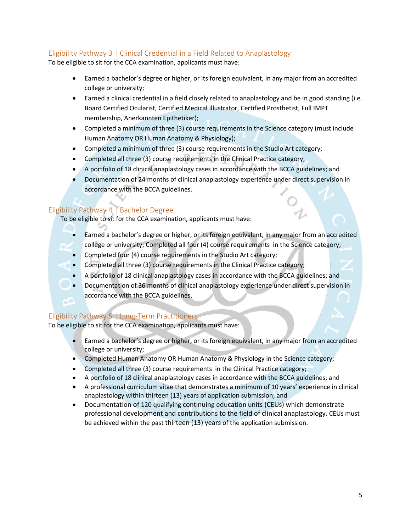#### <span id="page-4-0"></span>Eligibility Pathway 3 | Clinical Credential in a Field Related to Anaplastology

To be eligible to sit for the CCA examination, applicants must have:

- Earned a bachelor's degree or higher, or its foreign equivalent, in any major from an accredited college or university;
- Earned a clinical credential in a field closely related to anaplastology and be in good standing (i.e. Board Certified Ocularist, Certified Medical Illustrator, Certified Prosthetist, Full IMPT membership, Anerkannten Epithetiker);
- Completed a minimum of three (3) course requirements in the Science category (must include Human Anatomy OR Human Anatomy & Physiology);
- Completed a minimum of three (3) course requirements in the Studio Art category;
- Completed all three (3) course requirements in the Clinical Practice category;
- A portfolio of 18 clinical anaplastology cases in accordance with the BCCA guidelines; and
- Documentation of 24 months of clinical anaplastology experience under direct supervision in accordance with the BCCA guidelines.

#### <span id="page-4-1"></span>Eligibility Pathway 4 | Bachelor Degree

To be eligible to sit for the CCA examination, applicants must have:

- **Earned a bachelor's degree or higher, or its foreign equivalent, in any major from an accredited** college or university; Completed all four (4) course requirements in the Science category;
- Completed four (4) course requirements in the Studio Art category;
- Completed all three (3) course requirements in the Clinical Practice category;
- A portfolio of 18 clinical anaplastology cases in accordance with the BCCA guidelines; and
- Documentation of 36 months of clinical anaplastology experience under direct supervision in accordance with the BCCA guidelines.

#### <span id="page-4-2"></span>Eligibility Pathway 5 | Long-Term Practitioners

To be eligible to sit for the CCA examination, applicants must have:

- Earned a bachelor's degree or higher, or its foreign equivalent, in any major from an accredited college or university;
- Completed Human Anatomy OR Human Anatomy & Physiology in the Science category;
- Completed all three (3) course requirements in the Clinical Practice category;
- A portfolio of 18 clinical anaplastology cases in accordance with the BCCA guidelines; and
- A professional curriculum vitae that demonstrates a minimum of 10 years' experience in clinical anaplastology within thirteen (13) years of application submission; and
- Documentation of 120 qualifying continuing education units (CEUs) which demonstrate professional development and contributions to the field of clinical anaplastology. CEUs must be achieved within the past thirteen (13) years of the application submission.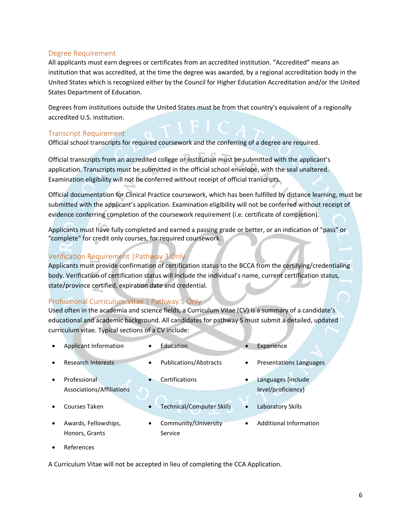#### Degree Requirement

All applicants must earn degrees or certificates from an accredited institution. "Accredited" means an institution that was accredited, at the time the degree was awarded, by a regional accreditation body in the United States which is recognized either by the Council for Higher Education Accreditation and/or the United States Department of Education.

Degrees from institutions outside the United States must be from that country's equivalent of a regionally accredited U.S. institution.

#### <span id="page-5-0"></span>Transcript Requirement

Official school transcripts for required coursework and the conferring of a degree are required.

Official transcripts from an accredited college or institution must be submitted with the applicant's application. Transcripts must be submitted in the official school envelope, with the seal unaltered. Examination eligibility will not be conferred without receipt of official transcripts.

Official documentation for Clinical Practice coursework, which has been fulfilled by distance learning, must be submitted with the applicant's application. Examination eligibility will not be conferred without receipt of evidence conferring completion of the coursework requirement (i.e. certificate of completion).

Applicants must have fully completed and earned a passing grade or better, or an indication of "pass" or "complete" for credit only courses, for required coursework.

#### Verification Requirement |Pathway 3 Only

Applicants must provide confirmation of certification status to the BCCA from the certifying/credentialing body. Verification of certification status will include the individual's name, current certification status, state/province certified, expiration date and credential.

#### <span id="page-5-1"></span>Professional Curriculum Vitae | Pathway 5 Only

Used often in the academia and science fields, a Curriculum Vitae (CV) is a summary of a candidate's educational and academic background. All candidates for pathway 5 must submit a detailed, updated curriculum vitae. Typical sections of a CV include:

- Applicant Information **•** Education **•** Experience
- - Research Interests Publications/Abstracts Presentations Languages
- Professional Associations/Affiliations
- 
- Awards, Fellowships, Honors, Grants
- 
- Courses Taken **•** Technical/Computer Skills Laboratory Skills
	- Community/University Service Additional Information

Certifications **CERTIFICATE CERTIFICATE CERTIFICATE** 

level/proficiency)

References

A Curriculum Vitae will not be accepted in lieu of completing the CCA Application.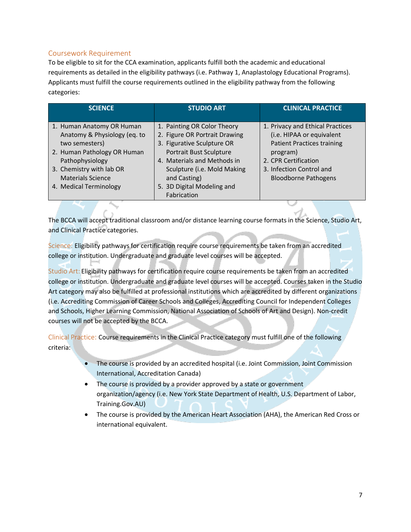#### <span id="page-6-0"></span>Coursework Requirement

To be eligible to sit for the CCA examination, applicants fulfill both the academic and educational requirements as detailed in the eligibility pathways (i.e. Pathway 1, Anaplastology Educational Programs). Applicants must fulfill the course requirements outlined in the eligibility pathway from the following categories:

| <b>SCIENCE</b>                                                                                                                                                                        | <b>STUDIO ART</b>                                                                                                                                                                                   | <b>CLINICAL PRACTICE</b>                                                                                                                                                                          |
|---------------------------------------------------------------------------------------------------------------------------------------------------------------------------------------|-----------------------------------------------------------------------------------------------------------------------------------------------------------------------------------------------------|---------------------------------------------------------------------------------------------------------------------------------------------------------------------------------------------------|
|                                                                                                                                                                                       |                                                                                                                                                                                                     |                                                                                                                                                                                                   |
| 1. Human Anatomy OR Human<br>Anatomy & Physiology (eq. to<br>two semesters)<br>2. Human Pathology OR Human<br>Pathophysiology<br>3. Chemistry with lab OR<br><b>Materials Science</b> | 1. Painting OR Color Theory<br>2. Figure OR Portrait Drawing<br>3. Figurative Sculpture OR<br>Portrait Bust Sculpture<br>4. Materials and Methods in<br>Sculpture (i.e. Mold Making<br>and Casting) | 1. Privacy and Ethical Practices<br>(i.e. HIPAA or equivalent<br><b>Patient Practices training</b><br>program)<br>2. CPR Certification<br>3. Infection Control and<br><b>Bloodborne Pathogens</b> |
| 4. Medical Terminology                                                                                                                                                                | 5. 3D Digital Modeling and<br>Fabrication                                                                                                                                                           |                                                                                                                                                                                                   |

The BCCA will accept traditional classroom and/or distance learning course formats in the Science, Studio Art, and Clinical Practice categories.

Science: Eligibility pathways for certification require course requirements be taken from an accredited college or institution. Undergraduate and graduate level courses will be accepted.

Studio Art: Eligibility pathways for certification require course requirements be taken from an accredited college or institution. Undergraduate and graduate level courses will be accepted. Courses taken in the Studio Art category may also be fulfilled at professional institutions which are accredited by different organizations (i.e. Accrediting Commission of Career Schools and Colleges, Accrediting Council for Independent Colleges and Schools, Higher Learning Commission, National Association of Schools of Art and Design). Non-credit courses will not be accepted by the BCCA.

Clinical Practice: Course requirements in the Clinical Practice category must fulfill one of the following criteria:

- The course is provided by an accredited hospital (i.e. Joint Commission, Joint Commission International, Accreditation Canada)
- The course is provided by a provider approved by a state or government organization/agency (i.e. New York State Department of Health, U.S. Department of Labor, Training.Gov.AU)
- The course is provided by the American Heart Association (AHA), the American Red Cross or international equivalent.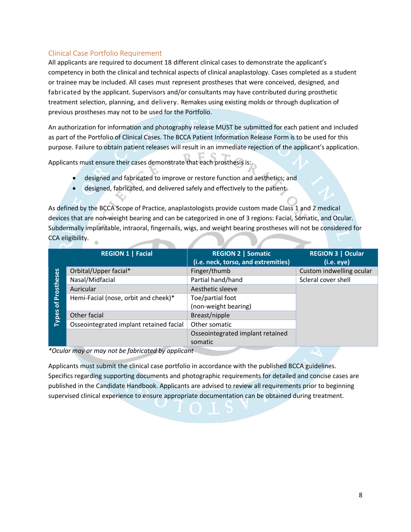#### <span id="page-7-0"></span>Clinical Case Portfolio Requirement

All applicants are required to document 18 different clinical cases to demonstrate the applicant's competency in both the clinical and technical aspects of clinical anaplastology. Cases completed as a student or trainee may be included. All cases must represent prostheses that were conceived, designed, and fabricated by the applicant. Supervisors and/or consultants may have contributed during prosthetic treatment selection, planning, and delivery. Remakes using existing molds or through duplication of previous prostheses may not to be used for the Portfolio.

An authorization for information and photography release MUST be submitted for each patient and included as part of the Portfolio of Clinical Cases. The BCCA Patient Information Release Form is to be used for this purpose. Failure to obtain patient releases will result in an immediate rejection of the applicant's application.

Applicants must ensure their cases demonstrate that each prosthesis is:

- designed and fabricated to improve or restore function and aesthetics; and
- designed, fabricated, and delivered safely and effectively to the patient.

As defined by the BCCA Scope of Practice, anaplastologists provide custom made Class 1 and 2 medical devices that are non-weight bearing and can be categorized in one of 3 regions: Facial, Somatic, and Ocular. Subdermally implantable, intraoral, fingernails, wigs, and weight bearing prostheses will not be considered for CCA eligibility.

|              | <b>REGION 1   Facial</b>                                                             | <b>REGION 2   Somatic</b><br>(i.e. neck, torso, and extremities) | <b>REGION 3   Ocular</b><br>(i.e. eye) |
|--------------|--------------------------------------------------------------------------------------|------------------------------------------------------------------|----------------------------------------|
|              | Orbital/Upper facial*                                                                | Finger/thumb                                                     | Custom indwelling ocular               |
|              | Nasal/Midfacial                                                                      | Partial hand/hand                                                | Scleral cover shell                    |
| Prostheses   | Auricular                                                                            | Aesthetic sleeve                                                 |                                        |
|              | Hemi-Facial (nose, orbit and cheek)*                                                 | Toe/partial foot                                                 |                                        |
| 호            |                                                                                      | (non-weight bearing)                                             |                                        |
| <b>Types</b> | Other facial                                                                         | Breast/nipple                                                    |                                        |
|              | Osseointegrated implant retained facial                                              | Other somatic                                                    |                                        |
|              |                                                                                      | Osseointegrated implant retained                                 |                                        |
|              |                                                                                      | somatic                                                          |                                        |
|              | $*$ One class we are a second point to a failure of a state of less around it should |                                                                  |                                        |

*\*Ocular may or may not be fabricated by applicant*

Applicants must submit the clinical case portfolio in accordance with the published BCCA guidelines. Specifics regarding supporting documents and photographic requirements for detailed and concise cases are published in the Candidate Handbook. Applicants are advised to review all requirements prior to beginning supervised clinical experience to ensure appropriate documentation can be obtained during treatment.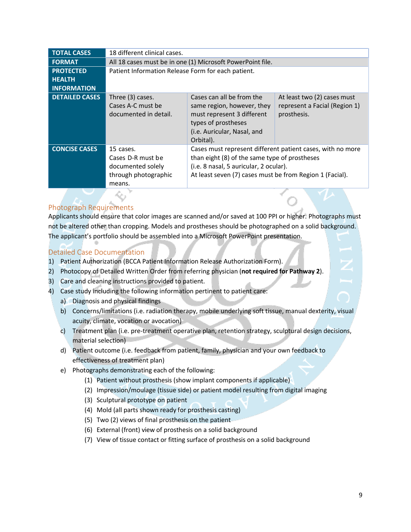| <b>TOTAL CASES</b>    | 18 different clinical cases.                                                          |                                                                                                                                                                                                                   |                                                                             |  |
|-----------------------|---------------------------------------------------------------------------------------|-------------------------------------------------------------------------------------------------------------------------------------------------------------------------------------------------------------------|-----------------------------------------------------------------------------|--|
| <b>FORMAT</b>         | All 18 cases must be in one (1) Microsoft PowerPoint file.                            |                                                                                                                                                                                                                   |                                                                             |  |
| <b>PROTECTED</b>      | Patient Information Release Form for each patient.                                    |                                                                                                                                                                                                                   |                                                                             |  |
| <b>HEALTH</b>         |                                                                                       |                                                                                                                                                                                                                   |                                                                             |  |
| <b>INFORMATION</b>    |                                                                                       |                                                                                                                                                                                                                   |                                                                             |  |
| <b>DETAILED CASES</b> | Three (3) cases.<br>Cases A-C must be<br>documented in detail.                        | Cases can all be from the<br>same region, however, they<br>must represent 3 different<br>types of prostheses<br>(i.e. Auricular, Nasal, and<br>Orbital).                                                          | At least two (2) cases must<br>represent a Facial (Region 1)<br>prosthesis. |  |
| <b>CONCISE CASES</b>  | 15 cases.<br>Cases D-R must be<br>documented solely<br>through photographic<br>means. | Cases must represent different patient cases, with no more<br>than eight (8) of the same type of prostheses<br>(i.e. 8 nasal, 5 auricular, 2 ocular).<br>At least seven (7) cases must be from Region 1 (Facial). |                                                                             |  |
|                       |                                                                                       |                                                                                                                                                                                                                   |                                                                             |  |

#### <span id="page-8-0"></span>Photograph Requirements

Applicants should ensure that color images are scanned and/or saved at 100 PPI or higher. Photographs must not be altered other than cropping. Models and prostheses should be photographed on a solid background. The applicant's portfolio should be assembled into a Microsoft PowerPoint presentation.

#### <span id="page-8-1"></span>Detailed Case Documentation

- 1) Patient Authorization (BCCA Patient Information Release Authorization Form).
- 2) Photocopy of Detailed Written Order from referring physician (**not required for Pathway 2**).
- 3) Care and cleaning instructions provided to patient.
- 4) Case study including the following information pertinent to patient care:
	- a) Diagnosis and physical findings
	- b) Concerns/limitations (i.e. radiation therapy, mobile underlying soft tissue, manual dexterity, visual acuity, climate, vocation or avocation)
	- c) Treatment plan (i.e. pre-treatment operative plan, retention strategy, sculptural design decisions, material selection)
	- d) Patient outcome (i.e. feedback from patient, family, physician and your own feedback to effectiveness of treatment plan)
	- e) Photographs demonstrating each of the following:
		- (1) Patient without prosthesis (show implant components if applicable)
		- (2) Impression/moulage (tissue side) or patient model resulting from digital imaging
		- (3) Sculptural prototype on patient
		- (4) Mold (all parts shown ready for prosthesis casting)
		- (5) Two (2) views of final prosthesis on the patient
		- (6) External (front) view of prosthesis on a solid background
		- (7) View of tissue contact or fitting surface of prosthesis on a solid background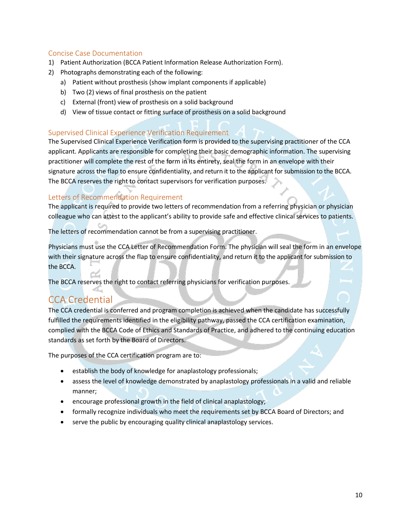#### <span id="page-9-0"></span>Concise Case Documentation

- 1) Patient Authorization (BCCA Patient Information Release Authorization Form).
- 2) Photographs demonstrating each of the following:
	- a) Patient without prosthesis (show implant components if applicable)
	- b) Two (2) views of final prosthesis on the patient
	- c) External (front) view of prosthesis on a solid background
	- d) View of tissue contact or fitting surface of prosthesis on a solid background

#### <span id="page-9-1"></span>Supervised Clinical Experience Verification Requirement

The Supervised Clinical Experience Verification form is provided to the supervising practitioner of the CCA applicant. Applicants are responsible for completing their basic demographic information. The supervising practitioner will complete the rest of the form in its entirety, seal the form in an envelope with their signature across the flap to ensure confidentiality, and return it to the applicant for submission to the BCCA. The BCCA reserves the right to contact supervisors for verification purposes.

#### <span id="page-9-2"></span>Letters of Recommendation Requirement

The applicant is required to provide two letters of recommendation from a referring physician or physician colleague who can attest to the applicant's ability to provide safe and effective clinical services to patients.

The letters of recommendation cannot be from a supervising practitioner.

Physicians must use the CCA Letter of Recommendation Form. The physician will seal the form in an envelope with their signature across the flap to ensure confidentiality, and return it to the applicant for submission to the BCCA.

The BCCA reserves the right to contact referring physicians for verification purposes.

### <span id="page-9-3"></span>CCA Credential

The CCA credential is conferred and program completion is achieved when the candidate has successfully fulfilled the requirements identified in the eligibility pathway, passed the CCA certification examination, complied with the BCCA Code of Ethics and Standards of Practice, and adhered to the continuing education standards as set forth by the Board of Directors.

The purposes of the CCA certification program are to:

- establish the body of knowledge for anaplastology professionals;
- assess the level of knowledge demonstrated by anaplastology professionals in a valid and reliable manner;
- encourage professional growth in the field of clinical anaplastology;
- formally recognize individuals who meet the requirements set by BCCA Board of Directors; and
- serve the public by encouraging quality clinical anaplastology services.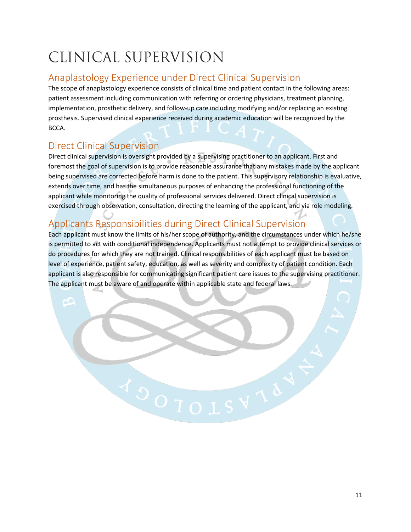# <span id="page-10-0"></span>CLINICAL SUPERVISION

### <span id="page-10-1"></span>Anaplastology Experience under Direct Clinical Supervision

The scope of anaplastology experience consists of clinical time and patient contact in the following areas: patient assessment including communication with referring or ordering physicians, treatment planning, implementation, prosthetic delivery, and follow-up care including modifying and/or replacing an existing prosthesis. Supervised clinical experience received during academic education will be recognized by the BCCA.

### <span id="page-10-2"></span>Direct Clinical Supervision

Direct clinical supervision is oversight provided by a supervising practitioner to an applicant. First and foremost the goal of supervision is to provide reasonable assurance that any mistakes made by the applicant being supervised are corrected before harm is done to the patient. This supervisory relationship is evaluative, extends over time, and has the simultaneous purposes of enhancing the professional functioning of the applicant while monitoring the quality of professional services delivered. Direct clinical supervision is exercised through observation, consultation, directing the learning of the applicant, and via role modeling.

## <span id="page-10-3"></span>Applicants Responsibilities during Direct Clinical Supervision

Each applicant must know the limits of his/her scope of authority, and the circumstances under which he/she is permitted to act with conditional independence. Applicants must not attempt to provide clinical services or do procedures for which they are not trained. Clinical responsibilities of each applicant must be based on level of experience, patient safety, education, as well as severity and complexity of patient condition. Each applicant is also responsible for communicating significant patient care issues to the supervising practitioner. The applicant must be aware of and operate within applicable state and federal laws.